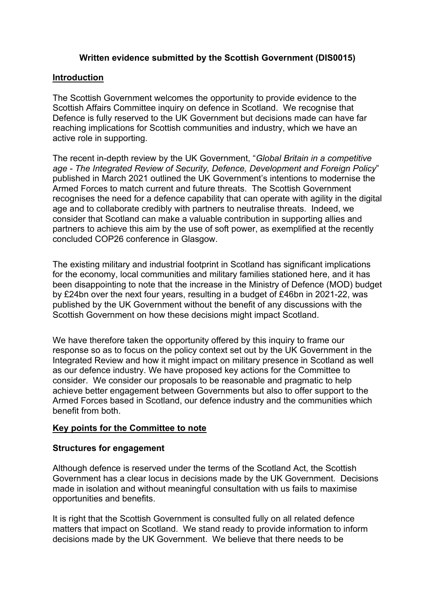# **Written evidence submitted by the Scottish Government (DIS0015)**

#### **Introduction**

The Scottish Government welcomes the opportunity to provide evidence to the Scottish Affairs Committee inquiry on defence in Scotland. We recognise that Defence is fully reserved to the UK Government but decisions made can have far reaching implications for Scottish communities and industry, which we have an active role in supporting.

The recent in-depth review by the UK Government, "*Global Britain in a competitive age - The Integrated Review of Security, Defence, Development and Foreign Policy*" published in March 2021 outlined the UK Government's intentions to modernise the Armed Forces to match current and future threats. The Scottish Government recognises the need for a defence capability that can operate with agility in the digital age and to collaborate credibly with partners to neutralise threats. Indeed, we consider that Scotland can make a valuable contribution in supporting allies and partners to achieve this aim by the use of soft power, as exemplified at the recently concluded COP26 conference in Glasgow.

The existing military and industrial footprint in Scotland has significant implications for the economy, local communities and military families stationed here, and it has been disappointing to note that the increase in the Ministry of Defence (MOD) budget by £24bn over the next four years, resulting in a budget of £46bn in 2021-22, was published by the UK Government without the benefit of any discussions with the Scottish Government on how these decisions might impact Scotland.

We have therefore taken the opportunity offered by this inquiry to frame our response so as to focus on the policy context set out by the UK Government in the Integrated Review and how it might impact on military presence in Scotland as well as our defence industry. We have proposed key actions for the Committee to consider. We consider our proposals to be reasonable and pragmatic to help achieve better engagement between Governments but also to offer support to the Armed Forces based in Scotland, our defence industry and the communities which benefit from both.

#### **Key points for the Committee to note**

# **Structures for engagement**

Although defence is reserved under the terms of the Scotland Act, the Scottish Government has a clear locus in decisions made by the UK Government. Decisions made in isolation and without meaningful consultation with us fails to maximise opportunities and benefits.

It is right that the Scottish Government is consulted fully on all related defence matters that impact on Scotland. We stand ready to provide information to inform decisions made by the UK Government. We believe that there needs to be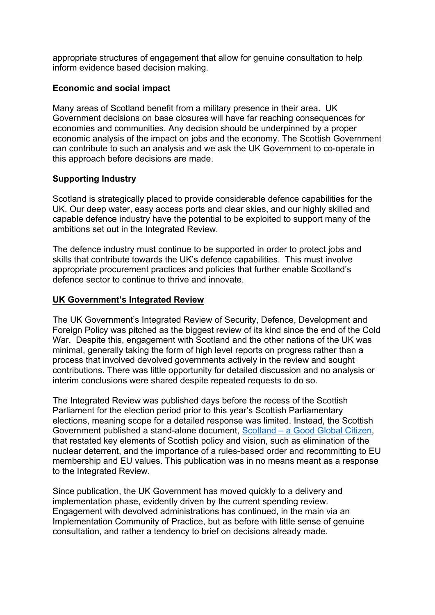appropriate structures of engagement that allow for genuine consultation to help inform evidence based decision making.

# **Economic and social impact**

Many areas of Scotland benefit from a military presence in their area. UK Government decisions on base closures will have far reaching consequences for economies and communities. Any decision should be underpinned by a proper economic analysis of the impact on jobs and the economy. The Scottish Government can contribute to such an analysis and we ask the UK Government to co-operate in this approach before decisions are made.

## **Supporting Industry**

Scotland is strategically placed to provide considerable defence capabilities for the UK. Our deep water, easy access ports and clear skies, and our highly skilled and capable defence industry have the potential to be exploited to support many of the ambitions set out in the Integrated Review.

The defence industry must continue to be supported in order to protect jobs and skills that contribute towards the UK's defence capabilities. This must involve appropriate procurement practices and policies that further enable Scotland's defence sector to continue to thrive and innovate.

## **UK Government's Integrated Review**

The UK Government's Integrated Review of Security, Defence, Development and Foreign Policy was pitched as the biggest review of its kind since the end of the Cold War. Despite this, engagement with Scotland and the other nations of the UK was minimal, generally taking the form of high level reports on progress rather than a process that involved devolved governments actively in the review and sought contributions. There was little opportunity for detailed discussion and no analysis or interim conclusions were shared despite repeated requests to do so.

The Integrated Review was published days before the recess of the Scottish Parliament for the election period prior to this year's Scottish Parliamentary elections, meaning scope for a detailed response was limited. Instead, the Scottish Government published a stand-alone document, [Scotland](https://www.gov.scot/publications/scotland-good-global-citizen-scottish-perspective-climate-defence-security-external-affairs/pages/3/#:~:text=Scotland%20is%20a%20modern%2C%20inclusive%20nation%20which%20protects%2C,of%20law%20and%20human%20rights%20across%20the%20world.) [–](https://www.gov.scot/publications/scotland-good-global-citizen-scottish-perspective-climate-defence-security-external-affairs/pages/3/#:~:text=Scotland%20is%20a%20modern%2C%20inclusive%20nation%20which%20protects%2C,of%20law%20and%20human%20rights%20across%20the%20world.) [a](https://www.gov.scot/publications/scotland-good-global-citizen-scottish-perspective-climate-defence-security-external-affairs/pages/3/#:~:text=Scotland%20is%20a%20modern%2C%20inclusive%20nation%20which%20protects%2C,of%20law%20and%20human%20rights%20across%20the%20world.) [Good](https://www.gov.scot/publications/scotland-good-global-citizen-scottish-perspective-climate-defence-security-external-affairs/pages/3/#:~:text=Scotland%20is%20a%20modern%2C%20inclusive%20nation%20which%20protects%2C,of%20law%20and%20human%20rights%20across%20the%20world.) [Global](https://www.gov.scot/publications/scotland-good-global-citizen-scottish-perspective-climate-defence-security-external-affairs/pages/3/#:~:text=Scotland%20is%20a%20modern%2C%20inclusive%20nation%20which%20protects%2C,of%20law%20and%20human%20rights%20across%20the%20world.) [Citizen,](https://www.gov.scot/publications/scotland-good-global-citizen-scottish-perspective-climate-defence-security-external-affairs/pages/3/#:~:text=Scotland%20is%20a%20modern%2C%20inclusive%20nation%20which%20protects%2C,of%20law%20and%20human%20rights%20across%20the%20world.) that restated key elements of Scottish policy and vision, such as elimination of the nuclear deterrent, and the importance of a rules-based order and recommitting to EU membership and EU values. This publication was in no means meant as a response to the Integrated Review.

Since publication, the UK Government has moved quickly to a delivery and implementation phase, evidently driven by the current spending review. Engagement with devolved administrations has continued, in the main via an Implementation Community of Practice, but as before with little sense of genuine consultation, and rather a tendency to brief on decisions already made.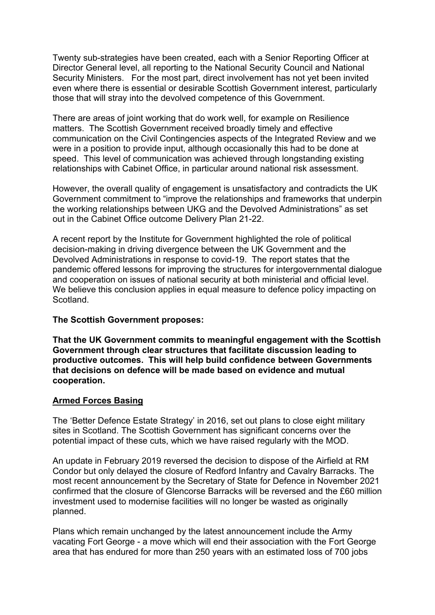Twenty sub-strategies have been created, each with a Senior Reporting Officer at Director General level, all reporting to the National Security Council and National Security Ministers. For the most part, direct involvement has not yet been invited even where there is essential or desirable Scottish Government interest, particularly those that will stray into the devolved competence of this Government.

There are areas of joint working that do work well, for example on Resilience matters. The Scottish Government received broadly timely and effective communication on the Civil Contingencies aspects of the Integrated Review and we were in a position to provide input, although occasionally this had to be done at speed. This level of communication was achieved through longstanding existing relationships with Cabinet Office, in particular around national risk assessment.

However, the overall quality of engagement is unsatisfactory and contradicts the UK Government commitment to "improve the relationships and frameworks that underpin the working relationships between UKG and the Devolved Administrations" as set out in the Cabinet Office outcome Delivery Plan 21-22.

A recent report by the Institute for Government highlighted the role of political decision-making in driving divergence between the UK Government and the Devolved Administrations in response to covid-19. The report states that the pandemic offered lessons for improving the structures for intergovernmental dialogue and cooperation on issues of national security at both ministerial and official level. We believe this conclusion applies in equal measure to defence policy impacting on **Scotland** 

#### **The Scottish Government proposes:**

**That the UK Government commits to meaningful engagement with the Scottish Government through clear structures that facilitate discussion leading to productive outcomes. This will help build confidence between Governments that decisions on defence will be made based on evidence and mutual cooperation.**

#### **Armed Forces Basing**

The 'Better Defence Estate Strategy' in 2016, set out plans to close eight military sites in Scotland. The Scottish Government has significant concerns over the potential impact of these cuts, which we have raised regularly with the MOD.

An update in February 2019 reversed the decision to dispose of the Airfield at RM Condor but only delayed the closure of Redford Infantry and Cavalry Barracks. The most recent announcement by the Secretary of State for Defence in November 2021 confirmed that the closure of Glencorse Barracks will be reversed and the £60 million investment used to modernise facilities will no longer be wasted as originally planned.

Plans which remain unchanged by the latest announcement include the Army vacating Fort George - a move which will end their association with the Fort George area that has endured for more than 250 years with an estimated loss of 700 jobs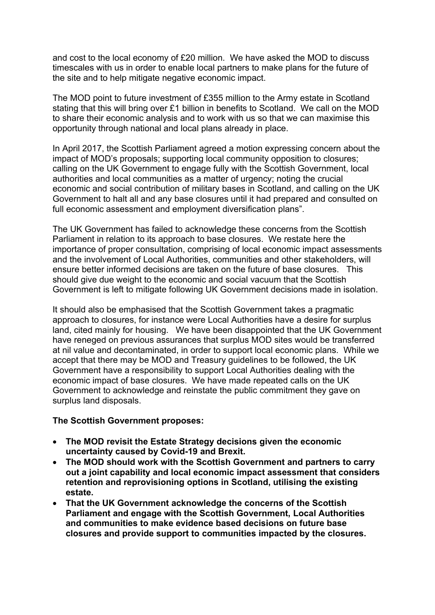and cost to the local economy of £20 million. We have asked the MOD to discuss timescales with us in order to enable local partners to make plans for the future of the site and to help mitigate negative economic impact.

The MOD point to future investment of £355 million to the Army estate in Scotland stating that this will bring over £1 billion in benefits to Scotland. We call on the MOD to share their economic analysis and to work with us so that we can maximise this opportunity through national and local plans already in place.

In April 2017, the Scottish Parliament agreed a motion expressing concern about the impact of MOD's proposals; supporting local community opposition to closures; calling on the UK Government to engage fully with the Scottish Government, local authorities and local communities as a matter of urgency; noting the crucial economic and social contribution of military bases in Scotland, and calling on the UK Government to halt all and any base closures until it had prepared and consulted on full economic assessment and employment diversification plans".

The UK Government has failed to acknowledge these concerns from the Scottish Parliament in relation to its approach to base closures. We restate here the importance of proper consultation, comprising of local economic impact assessments and the involvement of Local Authorities, communities and other stakeholders, will ensure better informed decisions are taken on the future of base closures. This should give due weight to the economic and social vacuum that the Scottish Government is left to mitigate following UK Government decisions made in isolation.

It should also be emphasised that the Scottish Government takes a pragmatic approach to closures, for instance were Local Authorities have a desire for surplus land, cited mainly for housing. We have been disappointed that the UK Government have reneged on previous assurances that surplus MOD sites would be transferred at nil value and decontaminated, in order to support local economic plans. While we accept that there may be MOD and Treasury guidelines to be followed, the UK Government have a responsibility to support Local Authorities dealing with the economic impact of base closures. We have made repeated calls on the UK Government to acknowledge and reinstate the public commitment they gave on surplus land disposals.

#### **The Scottish Government proposes:**

- **The MOD revisit the Estate Strategy decisions given the economic uncertainty caused by Covid-19 and Brexit.**
- **The MOD should work with the Scottish Government and partners to carry out a joint capability and local economic impact assessment that considers retention and reprovisioning options in Scotland, utilising the existing estate.**
- **That the UK Government acknowledge the concerns of the Scottish Parliament and engage with the Scottish Government, Local Authorities and communities to make evidence based decisions on future base closures and provide support to communities impacted by the closures.**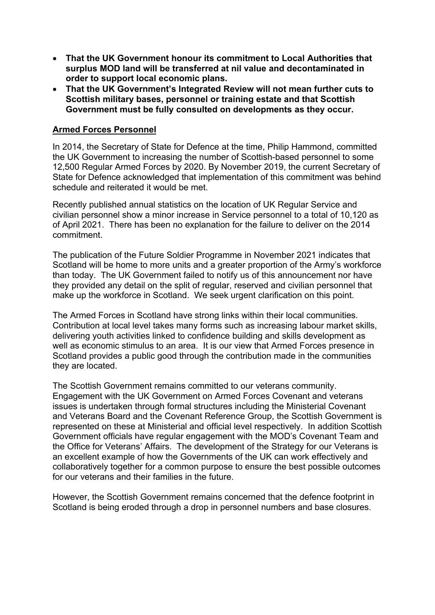- **That the UK Government honour its commitment to Local Authorities that surplus MOD land will be transferred at nil value and decontaminated in order to support local economic plans.**
- **That the UK Government's Integrated Review will not mean further cuts to Scottish military bases, personnel or training estate and that Scottish Government must be fully consulted on developments as they occur.**

#### **Armed Forces Personnel**

In 2014, the Secretary of State for Defence at the time, Philip Hammond, committed the UK Government to increasing the number of Scottish-based personnel to some 12,500 Regular Armed Forces by 2020. By November 2019, the current Secretary of State for Defence acknowledged that implementation of this commitment was behind schedule and reiterated it would be met.

Recently published annual statistics on the location of UK Regular Service and civilian personnel show a minor increase in Service personnel to a total of 10,120 as of April 2021. There has been no explanation for the failure to deliver on the 2014 commitment.

The publication of the Future Soldier Programme in November 2021 indicates that Scotland will be home to more units and a greater proportion of the Army's workforce than today. The UK Government failed to notify us of this announcement nor have they provided any detail on the split of regular, reserved and civilian personnel that make up the workforce in Scotland. We seek urgent clarification on this point.

The Armed Forces in Scotland have strong links within their local communities. Contribution at local level takes many forms such as increasing labour market skills, delivering youth activities linked to confidence building and skills development as well as economic stimulus to an area. It is our view that Armed Forces presence in Scotland provides a public good through the contribution made in the communities they are located.

The Scottish Government remains committed to our veterans community. Engagement with the UK Government on Armed Forces Covenant and veterans issues is undertaken through formal structures including the Ministerial Covenant and Veterans Board and the Covenant Reference Group, the Scottish Government is represented on these at Ministerial and official level respectively. In addition Scottish Government officials have regular engagement with the MOD's Covenant Team and the Office for Veterans' Affairs. The development of the Strategy for our Veterans is an excellent example of how the Governments of the UK can work effectively and collaboratively together for a common purpose to ensure the best possible outcomes for our veterans and their families in the future.

However, the Scottish Government remains concerned that the defence footprint in Scotland is being eroded through a drop in personnel numbers and base closures.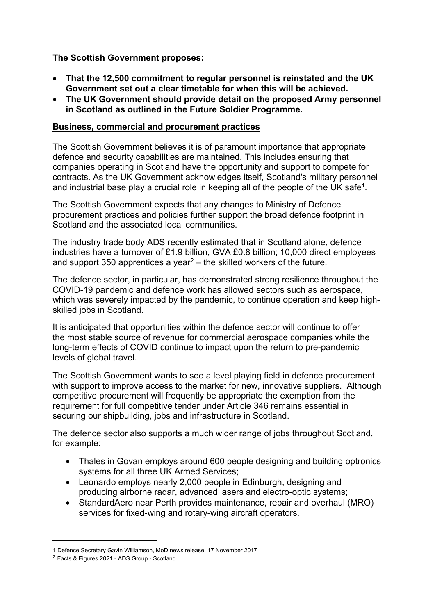# **The Scottish Government proposes:**

- **That the 12,500 commitment to regular personnel is reinstated and the UK Government set out a clear timetable for when this will be achieved.**
- **The UK Government should provide detail on the proposed Army personnel in Scotland as outlined in the Future Soldier Programme.**

### **Business, commercial and procurement practices**

The Scottish Government believes it is of paramount importance that appropriate defence and security capabilities are maintained. This includes ensuring that companies operating in Scotland have the opportunity and support to compete for contracts. As the UK Government acknowledges itself, Scotland's military personnel and industrial base play a crucial role in keeping all of the people of the UK safe<sup>1</sup>.

The Scottish Government expects that any changes to Ministry of Defence procurement practices and policies further support the broad defence footprint in Scotland and the associated local communities.

The industry trade body ADS recently estimated that in Scotland alone, defence industries have a turnover of £1.9 billion, GVA £0.8 billion; 10,000 direct employees and support 350 apprentices a year<sup>2</sup> – the skilled workers of the future.

The defence sector, in particular, has demonstrated strong resilience throughout the COVID-19 pandemic and defence work has allowed sectors such as aerospace, which was severely impacted by the pandemic, to continue operation and keep highskilled jobs in Scotland.

It is anticipated that opportunities within the defence sector will continue to offer the most stable source of revenue for commercial aerospace companies while the long-term effects of COVID continue to impact upon the return to pre-pandemic levels of global travel.

The Scottish Government wants to see a level playing field in defence procurement with support to improve access to the market for new, innovative suppliers. Although competitive procurement will frequently be appropriate the exemption from the requirement for full competitive tender under Article 346 remains essential in securing our shipbuilding, jobs and infrastructure in Scotland.

The defence sector also supports a much wider range of jobs throughout Scotland, for example:

- Thales in Govan employs around 600 people designing and building optronics systems for all three UK Armed Services;
- Leonardo employs nearly 2,000 people in Edinburgh, designing and producing airborne radar, advanced lasers and electro-optic systems;
- StandardAero near Perth provides maintenance, repair and overhaul (MRO) services for fixed-wing and rotary-wing aircraft operators.

<sup>1</sup> Defence Secretary Gavin Williamson, MoD news release, 17 November 2017

<sup>2</sup> [Facts](https://www.adsgroup.org.uk/industry-issues/facts-figures-2021/) [&](https://www.adsgroup.org.uk/industry-issues/facts-figures-2021/) [Figures](https://www.adsgroup.org.uk/industry-issues/facts-figures-2021/) [2021](https://www.adsgroup.org.uk/industry-issues/facts-figures-2021/) [-](https://www.adsgroup.org.uk/industry-issues/facts-figures-2021/) [ADS](https://www.adsgroup.org.uk/industry-issues/facts-figures-2021/) [Group](https://www.adsgroup.org.uk/industry-issues/facts-figures-2021/) - Scotland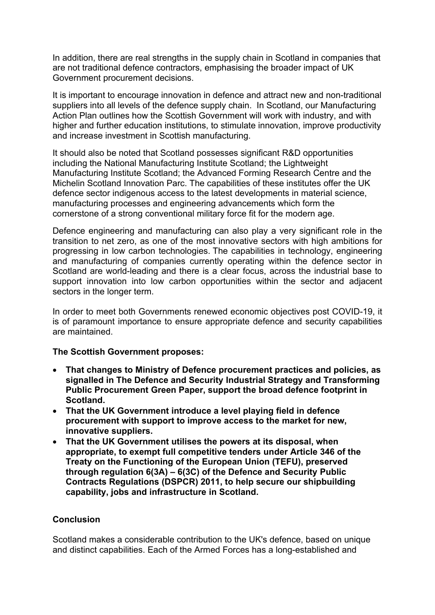In addition, there are real strengths in the supply chain in Scotland in companies that are not traditional defence contractors, emphasising the broader impact of UK Government procurement decisions.

It is important to encourage innovation in defence and attract new and non-traditional suppliers into all levels of the defence supply chain. In Scotland, our Manufacturing Action Plan outlines how the Scottish Government will work with industry, and with higher and further education institutions, to stimulate innovation, improve productivity and increase investment in Scottish manufacturing.

It should also be noted that Scotland possesses significant R&D opportunities including the National Manufacturing Institute Scotland; the Lightweight Manufacturing Institute Scotland; the Advanced Forming Research Centre and the Michelin Scotland Innovation Parc. The capabilities of these institutes offer the UK defence sector indigenous access to the latest developments in material science, manufacturing processes and engineering advancements which form the cornerstone of a strong conventional military force fit for the modern age.

Defence engineering and manufacturing can also play a very significant role in the transition to net zero, as one of the most innovative sectors with high ambitions for progressing in low carbon technologies. The capabilities in technology, engineering and manufacturing of companies currently operating within the defence sector in Scotland are world-leading and there is a clear focus, across the industrial base to support innovation into low carbon opportunities within the sector and adjacent sectors in the longer term.

In order to meet both Governments renewed economic objectives post COVID-19, it is of paramount importance to ensure appropriate defence and security capabilities are maintained.

#### **The Scottish Government proposes:**

- **That changes to Ministry of Defence procurement practices and policies, as signalled in The Defence and Security Industrial Strategy and Transforming Public Procurement Green Paper, support the broad defence footprint in Scotland.**
- **That the UK Government introduce a level playing field in defence procurement with support to improve access to the market for new, innovative suppliers.**
- **That the UK Government utilises the powers at its disposal, when appropriate, to exempt full competitive tenders under Article 346 of the Treaty on the Functioning of the European Union (TEFU), preserved through regulation 6(3A) – 6(3C) of the Defence and Security Public Contracts Regulations (DSPCR) 2011, to help secure our shipbuilding capability, jobs and infrastructure in Scotland.**

#### **Conclusion**

Scotland makes a considerable contribution to the UK's defence, based on unique and distinct capabilities. Each of the Armed Forces has a long-established and